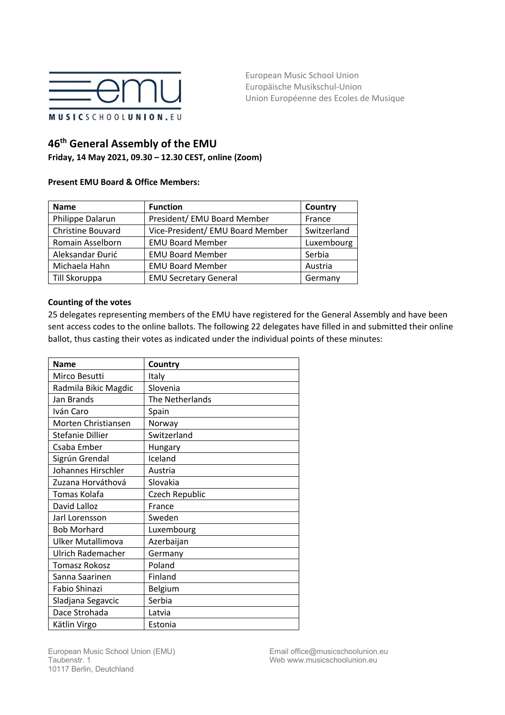

European Music School Union Europäische Musikschul-Union Union Européenne des Ecoles de Musique

# **46th General Assembly of the EMU**

**Friday, 14 May 2021, 09.30 – 12.30 CEST, online (Zoom)**

# **Present EMU Board & Office Members:**

| <b>Name</b>              | <b>Function</b>                  | Country     |
|--------------------------|----------------------------------|-------------|
| Philippe Dalarun         | President/ EMU Board Member      | France      |
| <b>Christine Bouvard</b> | Vice-President/ EMU Board Member | Switzerland |
| Romain Asselborn         | <b>EMU Board Member</b>          | Luxembourg  |
| Aleksandar Đurić         | <b>EMU Board Member</b>          | Serbia      |
| Michaela Hahn            | <b>EMU Board Member</b>          | Austria     |
| Till Skoruppa            | <b>EMU Secretary General</b>     | Germany     |

# **Counting of the votes**

25 delegates representing members of the EMU have registered for the General Assembly and have been sent access codes to the online ballots. The following 22 delegates have filled in and submitted their online ballot, thus casting their votes as indicated under the individual points of these minutes:

| <b>Name</b>              | Country         |
|--------------------------|-----------------|
| Mirco Besutti            | Italy           |
| Radmila Bikic Magdic     | Slovenia        |
| Jan Brands               | The Netherlands |
| Iván Caro                | Spain           |
| Morten Christiansen      | Norway          |
| Stefanie Dillier         | Switzerland     |
| Csaba Ember              | Hungary         |
| Sigrún Grendal           | Iceland         |
| Johannes Hirschler       | Austria         |
| Zuzana Horváthová        | Slovakia        |
| Tomas Kolafa             | Czech Republic  |
| David Lalloz             | France          |
| Jarl Lorensson           | Sweden          |
| <b>Bob Morhard</b>       | Luxembourg      |
| <b>Ulker Mutallimova</b> | Azerbaijan      |
| <b>Ulrich Rademacher</b> | Germany         |
| <b>Tomasz Rokosz</b>     | Poland          |
| Sanna Saarinen           | Finland         |
| Fabio Shinazi            | Belgium         |
| Sladjana Segavcic        | Serbia          |
| Dace Strohada            | Latvia          |
| Kätlin Virgo             | Estonia         |

European Music School Union (EMU) **Email office@musicschoolunion.eu** Taubenstr. 1 Web www.musicschoolunion.eu 10117 Berlin, Deutchland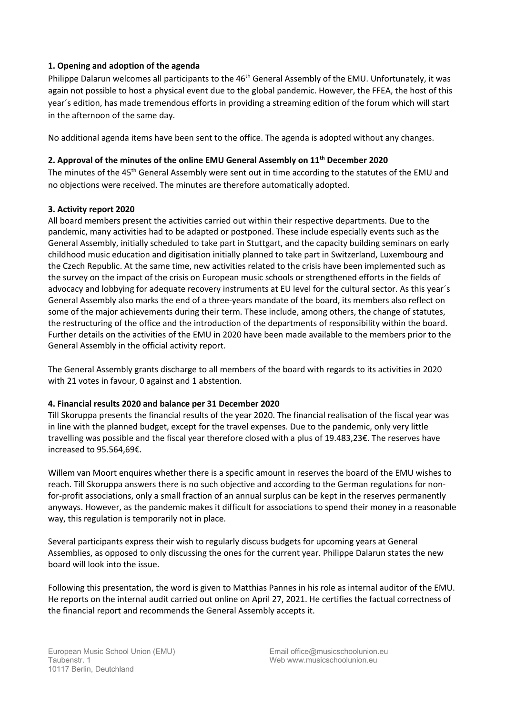# **1. Opening and adoption of the agenda**

Philippe Dalarun welcomes all participants to the 46<sup>th</sup> General Assembly of the EMU. Unfortunately, it was again not possible to host a physical event due to the global pandemic. However, the FFEA, the host of this year´s edition, has made tremendous efforts in providing a streaming edition of the forum which will start in the afternoon of the same day.

No additional agenda items have been sent to the office. The agenda is adopted without any changes.

# **2. Approval of the minutes of the online EMU General Assembly on 11th December 2020**

The minutes of the 45<sup>th</sup> General Assembly were sent out in time according to the statutes of the EMU and no objections were received. The minutes are therefore automatically adopted.

# **3. Activity report 2020**

All board members present the activities carried out within their respective departments. Due to the pandemic, many activities had to be adapted or postponed. These include especially events such as the General Assembly, initially scheduled to take part in Stuttgart, and the capacity building seminars on early childhood music education and digitisation initially planned to take part in Switzerland, Luxembourg and the Czech Republic. At the same time, new activities related to the crisis have been implemented such as the survey on the impact of the crisis on European music schools or strengthened efforts in the fields of advocacy and lobbying for adequate recovery instruments at EU level for the cultural sector. As this year´s General Assembly also marks the end of a three-years mandate of the board, its members also reflect on some of the major achievements during their term. These include, among others, the change of statutes, the restructuring of the office and the introduction of the departments of responsibility within the board. Further details on the activities of the EMU in 2020 have been made available to the members prior to the General Assembly in the official activity report.

The General Assembly grants discharge to all members of the board with regards to its activities in 2020 with 21 votes in favour, 0 against and 1 abstention.

## **4. Financial results 2020 and balance per 31 December 2020**

Till Skoruppa presents the financial results of the year 2020. The financial realisation of the fiscal year was in line with the planned budget, except for the travel expenses. Due to the pandemic, only very little travelling was possible and the fiscal year therefore closed with a plus of 19.483,23€. The reserves have increased to 95.564,69€.

Willem van Moort enquires whether there is a specific amount in reserves the board of the EMU wishes to reach. Till Skoruppa answers there is no such objective and according to the German regulations for nonfor-profit associations, only a small fraction of an annual surplus can be kept in the reserves permanently anyways. However, as the pandemic makes it difficult for associations to spend their money in a reasonable way, this regulation is temporarily not in place.

Several participants express their wish to regularly discuss budgets for upcoming years at General Assemblies, as opposed to only discussing the ones for the current year. Philippe Dalarun states the new board will look into the issue.

Following this presentation, the word is given to Matthias Pannes in his role as internal auditor of the EMU. He reports on the internal audit carried out online on April 27, 2021. He certifies the factual correctness of the financial report and recommends the General Assembly accepts it.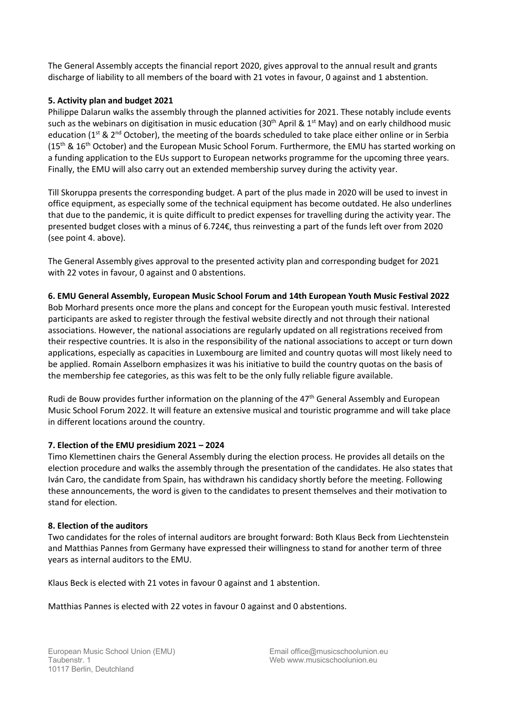The General Assembly accepts the financial report 2020, gives approval to the annual result and grants discharge of liability to all members of the board with 21 votes in favour, 0 against and 1 abstention.

# **5. Activity plan and budget 2021**

Philippe Dalarun walks the assembly through the planned activities for 2021. These notably include events such as the webinars on digitisation in music education (30<sup>th</sup> April & 1<sup>st</sup> May) and on early childhood music education (1<sup>st</sup> & 2<sup>nd</sup> October), the meeting of the boards scheduled to take place either online or in Serbia  $(15<sup>th</sup>$  &  $16<sup>th</sup>$  October) and the European Music School Forum. Furthermore, the EMU has started working on a funding application to the EUs support to European networks programme for the upcoming three years. Finally, the EMU will also carry out an extended membership survey during the activity year.

Till Skoruppa presents the corresponding budget. A part of the plus made in 2020 will be used to invest in office equipment, as especially some of the technical equipment has become outdated. He also underlines that due to the pandemic, it is quite difficult to predict expenses for travelling during the activity year. The presented budget closes with a minus of 6.724€, thus reinvesting a part of the funds left over from 2020 (see point 4. above).

The General Assembly gives approval to the presented activity plan and corresponding budget for 2021 with 22 votes in favour, 0 against and 0 abstentions.

# **6. EMU General Assembly, European Music School Forum and 14th European Youth Music Festival 2022**

Bob Morhard presents once more the plans and concept for the European youth music festival. Interested participants are asked to register through the festival website directly and not through their national associations. However, the national associations are regularly updated on all registrations received from their respective countries. It is also in the responsibility of the national associations to accept or turn down applications, especially as capacities in Luxembourg are limited and country quotas will most likely need to be applied. Romain Asselborn emphasizes it was his initiative to build the country quotas on the basis of the membership fee categories, as this was felt to be the only fully reliable figure available.

Rudi de Bouw provides further information on the planning of the 47<sup>th</sup> General Assembly and European Music School Forum 2022. It will feature an extensive musical and touristic programme and will take place in different locations around the country.

# **7. Election of the EMU presidium 2021 – 2024**

Timo Klemettinen chairs the General Assembly during the election process. He provides all details on the election procedure and walks the assembly through the presentation of the candidates. He also states that Iván Caro, the candidate from Spain, has withdrawn his candidacy shortly before the meeting. Following these announcements, the word is given to the candidates to present themselves and their motivation to stand for election.

## **8. Election of the auditors**

Two candidates for the roles of internal auditors are brought forward: Both Klaus Beck from Liechtenstein and Matthias Pannes from Germany have expressed their willingness to stand for another term of three years as internal auditors to the EMU.

Klaus Beck is elected with 21 votes in favour 0 against and 1 abstention.

Matthias Pannes is elected with 22 votes in favour 0 against and 0 abstentions.